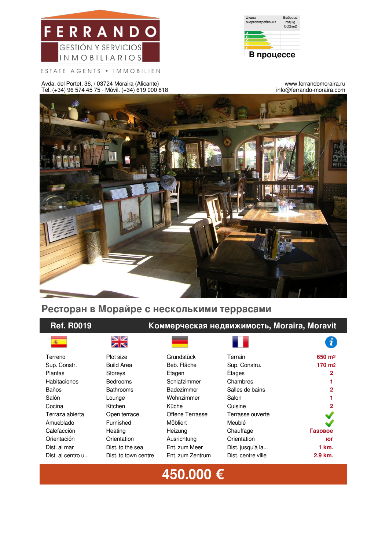



ESTATE AGENTS • IMMOBILIEN

Avda. del Portet, 36, / 03724 Moraira (Alicante) Tel. (+34) 96 574 45 75 - Móvil. (+34) 619 000 818

www.ferrandomoraira.ru info@ferrando-moraira.com



# **Ресторан в Морайре с несколькими террасами**

## **Ref. R0019 Коммерческая недвижимость, Moraira, Moravit**

VZ ZR

|  | Terrain |  |  |
|--|---------|--|--|

|                     | ZN                   |                        |                    | х.                 |
|---------------------|----------------------|------------------------|--------------------|--------------------|
| Terreno             | Plot size            | Grundstück             | Terrain            | 650 m <sup>2</sup> |
| Sup. Constr.        | <b>Build Area</b>    | Beb. Fläche            | Sup. Constru.      | 170 m <sub>2</sub> |
| <b>Plantas</b>      | Storeys              | Etagen                 | Étages             | $\mathbf{2}$       |
| <b>Habitaciones</b> | <b>Bedrooms</b>      | Schlafzimmer           | Chambres           |                    |
| <b>Baños</b>        | <b>Bathrooms</b>     | Badezimmer             | Salles de bains    | $\mathbf{2}$       |
| Salón               | Lounge               | Wohnzimmer             | Salon              |                    |
| Cocina              | Kitchen              | Küche                  | Cuisine            | $\mathbf{2}$       |
| Terraza abierta     | Open terrace         | <b>Offene Terrasse</b> | Terrasse ouverte   |                    |
| Amueblado           | Furnished            | Möbliert               | Meublé             |                    |
| Calefacción         | Heating              | Heizung                | Chauffage          | Газовое            |
| Orientación         | Orientation          | Ausrichtung            | Orientation        | ЮГ                 |
| Dist. al mar        | Dist. to the sea     | Ent. zum Meer          | Dist. jusqu'à la   | 1 km.              |
| Dist. al centro u   | Dist, to town centre | Ent. zum Zentrum       | Dist. centre ville | 2.9 km.            |
|                     |                      |                        |                    |                    |

# **450.000 €**